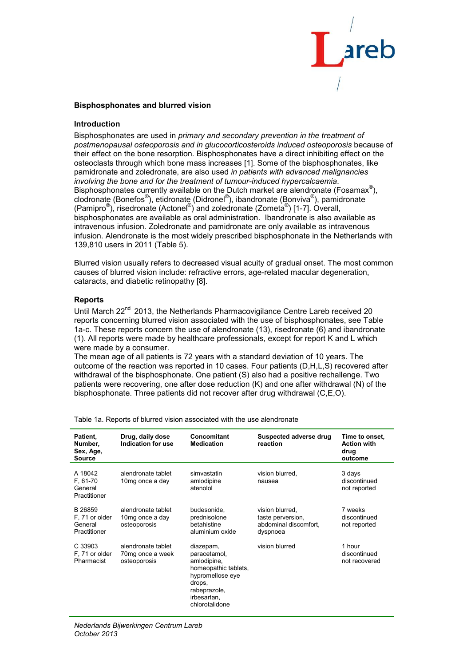

# **Bisphosphonates and blurred vision**

# **Introduction**

Bisphosphonates are used in *primary and secondary prevention in the treatment of postmenopausal osteoporosis and in glucocorticosteroids induced osteoporosis* because of their effect on the bone resorption. Bisphosphonates have a direct inhibiting effect on the osteoclasts through which bone mass increases [1]. Some of the bisphosphonates, like pamidronate and zoledronate, are also used *in patients with advanced malignancies involving the bone and for the treatment of tumour-induced hypercalcaemia*. Bisphosphonates currently available on the Dutch market are alendronate (Fosamax<sup>®</sup>), clodronate (Bonefos®), etidronate (Didronel®), ibandronate (Bonviva®), pamidronate (Pamipro®), risedronate (Actonel®) and zoledronate (Zometa®) [1-7]. Overall, bisphosphonates are available as oral administration. Ibandronate is also available as intravenous infusion. Zoledronate and pamidronate are only available as intravenous infusion. Alendronate is the most widely prescribed bisphosphonate in the Netherlands with 139,810 users in 2011 (Table 5).

Blurred vision usually refers to decreased visual acuity of gradual onset. The most common causes of blurred vision include: refractive errors, age-related macular degeneration, cataracts, and diabetic retinopathy [8].

#### **Reports**

Until March  $22<sup>nd</sup>$  2013, the Netherlands Pharmacovigilance Centre Lareb received 20 reports concerning blurred vision associated with the use of bisphosphonates, see Table 1a-c. These reports concern the use of alendronate (13), risedronate (6) and ibandronate (1). All reports were made by healthcare professionals, except for report K and L which were made by a consumer.

The mean age of all patients is 72 years with a standard deviation of 10 years. The outcome of the reaction was reported in 10 cases. Four patients (D,H,L,S) recovered after withdrawal of the bisphosphonate. One patient (S) also had a positive rechallenge. Two patients were recovering, one after dose reduction (K) and one after withdrawal (N) of the bisphosphonate. Three patients did not recover after drug withdrawal (C,E,O).

| Patient.<br>Number,<br>Sex, Age,<br><b>Source</b>    | Drug, daily dose<br>Indication for use                 | Concomitant<br><b>Medication</b>                                                                                                                | Suspected adverse drug<br>reaction                                        | Time to onset.<br><b>Action with</b><br>drug<br>outcome |
|------------------------------------------------------|--------------------------------------------------------|-------------------------------------------------------------------------------------------------------------------------------------------------|---------------------------------------------------------------------------|---------------------------------------------------------|
| A 18042<br>F, 61-70<br>General<br>Practitioner       | alendronate tablet<br>10mg once a day                  | simvastatin<br>amlodipine<br>atenolol                                                                                                           | vision blurred,<br>nausea                                                 | 3 days<br>discontinued<br>not reported                  |
| B 26859<br>F, 71 or older<br>General<br>Practitioner | alendronate tablet<br>10mg once a day<br>osteoporosis  | budesonide,<br>prednisolone<br>hetahistine<br>aluminium oxide                                                                                   | vision blurred,<br>taste perversion,<br>abdominal discomfort.<br>dyspnoea | 7 weeks<br>discontinued<br>not reported                 |
| C 33903<br>F, 71 or older<br>Pharmacist              | alendronate tablet<br>70mg once a week<br>osteoporosis | diazepam,<br>paracetamol,<br>amlodipine,<br>homeopathic tablets,<br>hypromellose eye<br>drops,<br>rabeprazole,<br>irbesartan,<br>chlorotalidone | vision blurred                                                            | 1 hour<br>discontinued<br>not recovered                 |

Table 1a. Reports of blurred vision associated with the use alendronate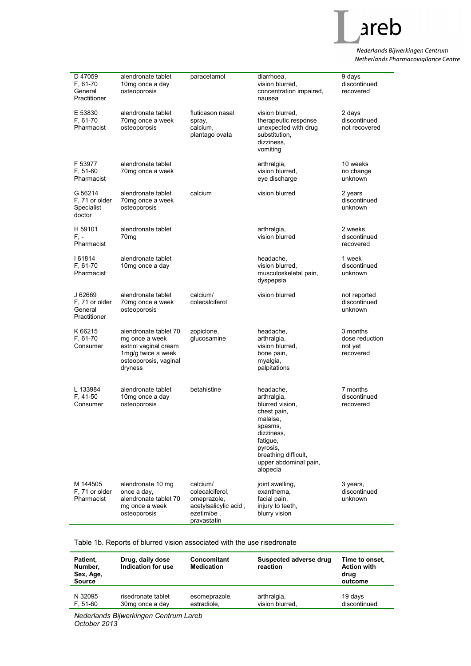

Nederlands Bijwerkingen Centrum Netherlands Pharmacovigilance Centre

| D 47059<br>F, 61-70<br>General<br>Practitioner       | alendronate tablet<br>10mg once a day<br>osteoporosis                                                                      | paracetamol                                                                                      | diarrhoea.<br>vision blurred,<br>concentration impaired,<br>nausea                                                                                                                   | $\overline{9}$ days<br>discontinued<br>recovered   |
|------------------------------------------------------|----------------------------------------------------------------------------------------------------------------------------|--------------------------------------------------------------------------------------------------|--------------------------------------------------------------------------------------------------------------------------------------------------------------------------------------|----------------------------------------------------|
| E 53830<br>F, 61-70<br>Pharmacist                    | alendronate tablet<br>70mg once a week<br>osteoporosis                                                                     | fluticason nasal<br>spray,<br>calcium,<br>plantago ovata                                         | vision blurred,<br>therapeutic response<br>unexpected with drug<br>substitution,<br>dizziness,<br>vomiting                                                                           | 2 days<br>discontinued<br>not recovered            |
| F 53977<br>F, 51-60<br>Pharmacist                    | alendronate tablet<br>70mg once a week                                                                                     |                                                                                                  | arthralgia,<br>vision blurred,<br>eye discharge                                                                                                                                      | 10 weeks<br>no change<br>unknown                   |
| G 56214<br>F, 71 or older<br>Specialist<br>doctor    | alendronate tablet<br>70mg once a week<br>osteoporosis                                                                     | calcium                                                                                          | vision blurred                                                                                                                                                                       | 2 years<br>discontinued<br>unknown                 |
| H 59101<br>F. -<br>Pharmacist                        | alendronate tablet<br>70 <sub>mg</sub>                                                                                     |                                                                                                  | arthralgia,<br>vision blurred                                                                                                                                                        | 2 weeks<br>discontinued<br>recovered               |
| 161814<br>F, 61-70<br>Pharmacist                     | alendronate tablet<br>10mg once a day                                                                                      |                                                                                                  | headache,<br>vision blurred.<br>musculoskeletal pain,<br>dyspepsia                                                                                                                   | 1 week<br>discontinued<br>unknown                  |
| J 62669<br>F, 71 or older<br>General<br>Practitioner | alendronate tablet<br>70mg once a week<br>osteoporosis                                                                     | calcium/<br>colecalciferol                                                                       | vision blurred                                                                                                                                                                       | not reported<br>discontinued<br>unknown            |
| K 66215<br>F, 61-70<br>Consumer                      | alendronate tablet 70<br>mg once a week<br>estriol vaginal cream<br>1mg/g twice a week<br>osteoporosis, vaginal<br>dryness | zopiclone,<br>glucosamine                                                                        | headache,<br>arthralgia,<br>vision blurred,<br>bone pain,<br>myalgia,<br>palpitations                                                                                                | 3 months<br>dose reduction<br>not yet<br>recovered |
| L 133984<br>F, 41-50<br>Consumer                     | alendronate tablet<br>10mg once a day<br>osteoporosis                                                                      | betahistine                                                                                      | headache,<br>arthralgia,<br>blurred vision,<br>chest pain,<br>malaise,<br>spasms,<br>dizziness,<br>fatigue,<br>pyrosis,<br>breathing difficult,<br>upper abdominal pain,<br>alopecia | 7 months<br>discontinued<br>recovered              |
| M 144505<br>F, 71 or older<br>Pharmacist             | alendronate 10 mg<br>once a day,<br>alendronate tablet 70<br>mg once a week<br>osteoporosis                                | calcium/<br>colecalciferol,<br>omeprazole,<br>acetylsalicylic acid,<br>ezetimibe,<br>pravastatin | joint swelling,<br>exanthema,<br>facial pain,<br>injury to teeth,<br>blurry vision                                                                                                   | 3 years,<br>discontinued<br>unknown                |

Table 1b. Reports of blurred vision associated with the use risedronate

| Patient,<br>Number,<br>Sex, Age,<br><b>Source</b> | Drug, daily dose<br>Indication for use | Concomitant<br><b>Medication</b> | Suspected adverse drug<br>reaction | Time to onset,<br><b>Action with</b><br>drug<br>outcome |
|---------------------------------------------------|----------------------------------------|----------------------------------|------------------------------------|---------------------------------------------------------|
| N 32095                                           | risedronate tablet                     | esomeprazole,                    | arthralgia,                        | 19 days                                                 |
| $F, 51-60$                                        | 30mg once a day                        | estradiole.                      | vision blurred,                    | discontinued                                            |

*Nederlands Bijwerkingen Centrum Lareb October 2013*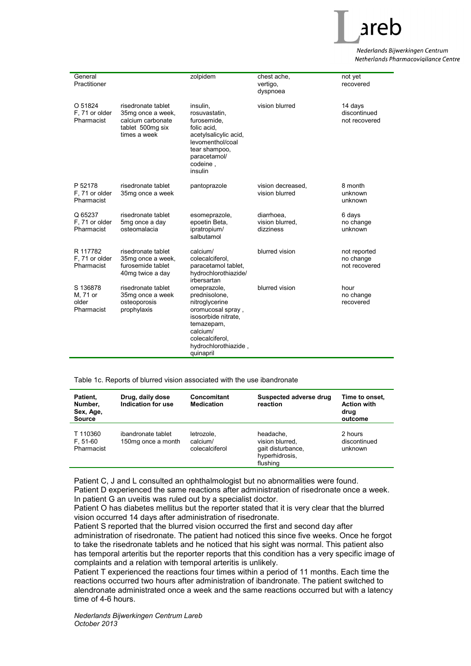

Nederlands Bijwerkingen Centrum Netherlands Pharmacovigilance Centre

| General<br>Practitioner                     |                                                                                                  | zolpidem                                                                                                                                                                     | chest ache,<br>vertigo,<br>dyspnoea        | not yet<br>recovered                       |
|---------------------------------------------|--------------------------------------------------------------------------------------------------|------------------------------------------------------------------------------------------------------------------------------------------------------------------------------|--------------------------------------------|--------------------------------------------|
| O 51824<br>F, 71 or older<br>Pharmacist     | risedronate tablet<br>35mg once a week,<br>calcium carbonate<br>tablet 500mg six<br>times a week | insulin.<br>rosuvastatin,<br>furosemide,<br>folic acid.<br>acetylsalicylic acid,<br>levomenthol/coal<br>tear shampoo,<br>paracetamol/<br>codeine,<br>insulin                 | vision blurred                             | 14 days<br>discontinued<br>not recovered   |
| P 52178<br>F. 71 or older<br>Pharmacist     | risedronate tablet<br>35mg once a week                                                           | pantoprazole                                                                                                                                                                 | vision decreased.<br>vision blurred        | 8 month<br>unknown<br>unknown              |
| Q 65237<br>F, 71 or older<br>Pharmacist     | risedronate tablet<br>5mg once a day<br>osteomalacia                                             | esomeprazole,<br>epoetin Beta,<br>ipratropium/<br>salbutamol                                                                                                                 | diarrhoea,<br>vision blurred,<br>dizziness | 6 days<br>no change<br>unknown             |
| R 117782<br>F, 71 or older<br>Pharmacist    | risedronate tablet<br>35mg once a week,<br>furosemide tablet<br>40mg twice a day                 | calcium/<br>colecalciferol.<br>paracetamol tablet,<br>hydrochlorothiazide/<br>irbersartan                                                                                    | blurred vision                             | not reported<br>no change<br>not recovered |
| S 136878<br>M, 71 or<br>older<br>Pharmacist | risedronate tablet<br>35mg once a week<br>osteoporosis<br>prophylaxis                            | omeprazole,<br>prednisolone,<br>nitroglycerine<br>oromucosal spray,<br>isosorbide nitrate.<br>temazepam,<br>calcium/<br>colecalciferol,<br>hydrochlorothiazide,<br>quinapril | blurred vision                             | hour<br>no change<br>recovered             |

Table 1c. Reports of blurred vision associated with the use ibandronate

| Patient.<br>Number,<br>Sex, Age,<br><b>Source</b> | Drug, daily dose<br>Indication for use   | Concomitant<br><b>Medication</b>         | Suspected adverse drug<br>reaction                                              | Time to onset.<br><b>Action with</b><br>drug<br>outcome |
|---------------------------------------------------|------------------------------------------|------------------------------------------|---------------------------------------------------------------------------------|---------------------------------------------------------|
| T 110360<br>$F, 51-60$<br>Pharmacist              | ibandronate tablet<br>150mg once a month | letrozole,<br>calcium/<br>colecalciferol | headache,<br>vision blurred,<br>gait disturbance.<br>hyperhidrosis,<br>flushing | 2 hours<br>discontinued<br>unknown                      |

Patient C, J and L consulted an ophthalmologist but no abnormalities were found. Patient D experienced the same reactions after administration of risedronate once a week. In patient G an uveitis was ruled out by a specialist doctor.

Patient O has diabetes mellitus but the reporter stated that it is very clear that the blurred vision occurred 14 days after administration of risedronate.

Patient S reported that the blurred vision occurred the first and second day after administration of risedronate. The patient had noticed this since five weeks. Once he forgot to take the risedronate tablets and he noticed that his sight was normal. This patient also has temporal arteritis but the reporter reports that this condition has a very specific image of complaints and a relation with temporal arteritis is unlikely.

Patient T experienced the reactions four times within a period of 11 months. Each time the reactions occurred two hours after administration of ibandronate. The patient switched to alendronate administrated once a week and the same reactions occurred but with a latency time of 4-6 hours.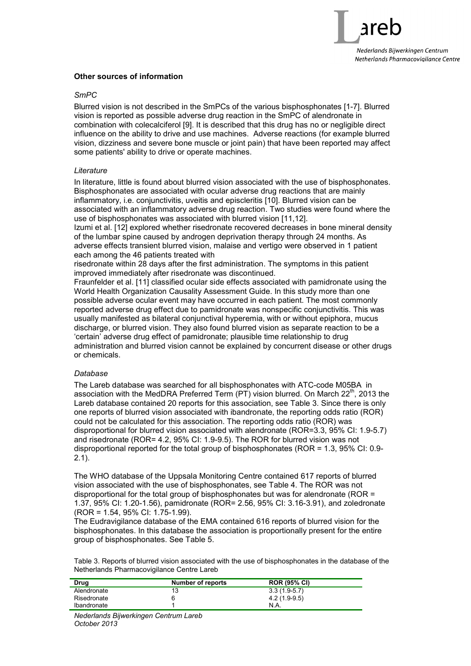

# **Other sources of information**

# *SmPC*

Blurred vision is not described in the SmPCs of the various bisphosphonates [1-7]. Blurred vision is reported as possible adverse drug reaction in the SmPC of alendronate in combination with colecalciferol [9]. It is described that this drug has no or negligible direct influence on the ability to drive and use machines. Adverse reactions (for example blurred vision, dizziness and severe bone muscle or joint pain) that have been reported may affect some patients' ability to drive or operate machines.

# *Literature*

In literature, little is found about blurred vision associated with the use of bisphosphonates. Bisphosphonates are associated with ocular adverse drug reactions that are mainly inflammatory, i.e. conjunctivitis, uveitis and episcleritis [10]. Blurred vision can be associated with an inflammatory adverse drug reaction. Two studies were found where the use of bisphosphonates was associated with blurred vision [11,12].

Izumi et al. [12] explored whether risedronate recovered decreases in bone mineral density of the lumbar spine caused by androgen deprivation therapy through 24 months. As adverse effects transient blurred vision, malaise and vertigo were observed in 1 patient each among the 46 patients treated with

risedronate within 28 days after the first administration. The symptoms in this patient improved immediately after risedronate was discontinued.

Fraunfelder et al. [11] classified ocular side effects associated with pamidronate using the World Health Organization Causality Assessment Guide. In this study more than one possible adverse ocular event may have occurred in each patient. The most commonly reported adverse drug effect due to pamidronate was nonspecific conjunctivitis. This was usually manifested as bilateral conjunctival hyperemia, with or without epiphora, mucus discharge, or blurred vision. They also found blurred vision as separate reaction to be a 'certain' adverse drug effect of pamidronate; plausible time relationship to drug administration and blurred vision cannot be explained by concurrent disease or other drugs or chemicals.

# *Database*

The Lareb database was searched for all bisphosphonates with ATC-code M05BA in association with the MedDRA Preferred Term  $(PT)$  vision blurred. On March 22<sup>th</sup>, 2013 the Lareb database contained 20 reports for this association, see Table 3. Since there is only one reports of blurred vision associated with ibandronate, the reporting odds ratio (ROR) could not be calculated for this association. The reporting odds ratio (ROR) was disproportional for blurred vision associated with alendronate (ROR=3.3, 95% CI: 1.9-5.7) and risedronate (ROR= 4.2, 95% CI: 1.9-9.5). The ROR for blurred vision was not disproportional reported for the total group of bisphosphonates (ROR = 1.3, 95% CI: 0.9- 2.1).

The WHO database of the Uppsala Monitoring Centre contained 617 reports of blurred vision associated with the use of bisphosphonates, see Table 4. The ROR was not disproportional for the total group of bisphosphonates but was for alendronate (ROR = 1.37, 95% CI: 1.20-1.56), pamidronate (ROR= 2.56, 95% CI: 3.16-3.91), and zoledronate (ROR = 1.54, 95% CI: 1.75-1.99).

The Eudravigilance database of the EMA contained 616 reports of blurred vision for the bisphosphonates. In this database the association is proportionally present for the entire group of bisphosphonates. See Table 5.

Table 3. Reports of blurred vision associated with the use of bisphosphonates in the database of the Netherlands Pharmacovigilance Centre Lareb

| Drug        | Number of reports | <b>ROR (95% CI)</b> |
|-------------|-------------------|---------------------|
| Alendronate | 13                | $3.3(1.9-5.7)$      |
| Risedronate | 6                 | $4.2(1.9-9.5)$      |
| Ibandronate |                   | N.A                 |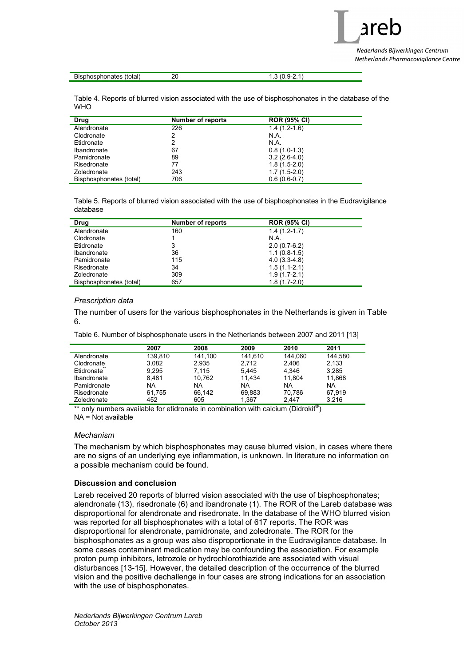are Nederlands Bijwerkingen Centrum Netherlands Pharmacovigilance Centre

| Bisphosphonates (total) | $1.3(0.9-2.1)$ |
|-------------------------|----------------|

Table 4. Reports of blurred vision associated with the use of bisphosphonates in the database of the **WHO** 

| Drug                    | Number of reports | <b>ROR (95% CI)</b> |
|-------------------------|-------------------|---------------------|
| Alendronate             | 226               | $1.4(1.2-1.6)$      |
| Clodronate              | 2                 | N.A.                |
| Etidronate              | 2                 | N.A.                |
| Ibandronate             | 67                | $0.8(1.0-1.3)$      |
| Pamidronate             | 89                | $3.2(2.6-4.0)$      |
| Risedronate             | 77                | $1.8(1.5-2.0)$      |
| Zoledronate             | 243               | $1.7(1.5-2.0)$      |
| Bisphosphonates (total) | 706               | $0.6(0.6-0.7)$      |

Table 5. Reports of blurred vision associated with the use of bisphosphonates in the Eudravigilance database

| Drug                    | <b>Number of reports</b> | <b>ROR (95% CI)</b> |
|-------------------------|--------------------------|---------------------|
| Alendronate             | 160                      | $1.4(1.2-1.7)$      |
| Clodronate              |                          | N.A.                |
| Etidronate              | 3                        | $2.0(0.7-6.2)$      |
| <b>Ibandronate</b>      | 36                       | $1.1(0.8-1.5)$      |
| Pamidronate             | 115                      | $4.0(3.3-4.8)$      |
| Risedronate             | 34                       | $1.5(1.1-2.1)$      |
| Zoledronate             | 309                      | $1.9(1.7-2.1)$      |
| Bisphosphonates (total) | 657                      | $1.8(1.7-2.0)$      |

# *Prescription data*

The number of users for the various bisphosphonates in the Netherlands is given in Table 6.

Table 6. Number of bisphosphonate users in the Netherlands between 2007 and 2011 [13]

|             | 2007      | 2008    | 2009    | 2010    | 2011    |
|-------------|-----------|---------|---------|---------|---------|
| Alendronate | 139.810   | 141.100 | 141.610 | 144.060 | 144.580 |
| Clodronate  | 3.082     | 2.935   | 2.712   | 2.406   | 2.133   |
| Etidronate  | 9.295     | 7.115   | 5.445   | 4.346   | 3,285   |
| Ibandronate | 8.481     | 10.762  | 11.434  | 11.804  | 11.868  |
| Pamidronate | <b>NA</b> | NA      | NA      | NA      | NA      |
| Risedronate | 61.755    | 66.142  | 69.883  | 70.786  | 67.919  |
| Zoledronate | 452       | 605     | 1.367   | 2.447   | 3.216   |

\*\* only numbers available for etidronate in combination with calcium (Didrokit®) NA = Not available

#### *Mechanism*

The mechanism by which bisphosphonates may cause blurred vision, in cases where there are no signs of an underlying eye inflammation, is unknown. In literature no information on a possible mechanism could be found.

# **Discussion and conclusion**

Lareb received 20 reports of blurred vision associated with the use of bisphosphonates; alendronate (13), risedronate (6) and ibandronate (1). The ROR of the Lareb database was disproportional for alendronate and risedronate. In the database of the WHO blurred vision was reported for all bisphosphonates with a total of 617 reports. The ROR was disproportional for alendronate, pamidronate, and zoledronate. The ROR for the bisphosphonates as a group was also disproportionate in the Eudravigilance database. In some cases contaminant medication may be confounding the association. For example proton pump inhibitors, letrozole or hydrochlorothiazide are associated with visual disturbances [13-15]. However, the detailed description of the occurrence of the blurred vision and the positive dechallenge in four cases are strong indications for an association with the use of bisphosphonates.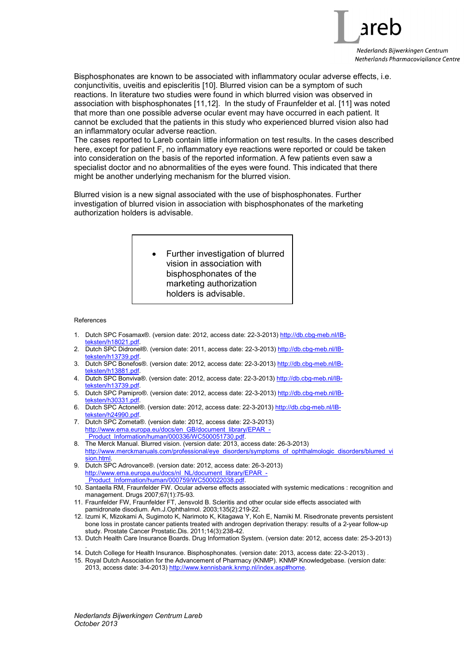

Bisphosphonates are known to be associated with inflammatory ocular adverse effects, i.e. conjunctivitis, uveitis and episcleritis [10]. Blurred vision can be a symptom of such reactions. In literature two studies were found in which blurred vision was observed in association with bisphosphonates [11,12]. In the study of Fraunfelder et al. [11] was noted that more than one possible adverse ocular event may have occurred in each patient. It cannot be excluded that the patients in this study who experienced blurred vision also had an inflammatory ocular adverse reaction.

The cases reported to Lareb contain little information on test results. In the cases described here, except for patient F, no inflammatory eye reactions were reported or could be taken into consideration on the basis of the reported information. A few patients even saw a specialist doctor and no abnormalities of the eyes were found. This indicated that there might be another underlying mechanism for the blurred vision.

Blurred vision is a new signal associated with the use of bisphosphonates. Further investigation of blurred vision in association with bisphosphonates of the marketing authorization holders is advisable.

> • Further investigation of blurred vision in association with bisphosphonates of the marketing authorization holders is advisable.

References

- 1. Dutch SPC Fosamax®. (version date: 2012, access date: 22-3-2013) http://db.cbg-meb.nl/IBteksten/h18021.pdf.
- 2. Dutch SPC Didronel®. (version date: 2011, access date: 22-3-2013) http://db.cbg-meb.nl/IBteksten/h13739.pdf
- 3. Dutch SPC Bonefos®. (version date: 2012, access date: 22-3-2013) http://db.cbg-meb.nl/IBteksten/h13881.pdf.
- 4. Dutch SPC Bonviva®. (version date: 2012, access date: 22-3-2013) http://db.cbg-meb.nl/IBteksten/h13739.pdf
- 5. Dutch SPC Pamipro®. (version date: 2012, access date: 22-3-2013) http://db.cbg-meb.nl/IBteksten/h30331.pdf.
- 6. Dutch SPC Actonel®. (version date: 2012, access date: 22-3-2013) http://db.cbg-meb.nl/IBeksten/h24990.pdf
- 7. Dutch SPC Zometa®. (version date: 2012, access date: 22-3-2013) http://www.ema.europa.eu/docs/en\_GB/document\_library/EPAR\_- Product\_Information/human/000336/WC500051730.pdf.
- 8. The Merck Manual. Blurred vision. (version date: 2013, access date: 26-3-2013) http://www.merckmanuals.com/professional/eye\_disorders/symptoms\_of\_ophthalmologic\_disorders/blurred\_vi sion html.
- 9. Dutch SPC Adrovance®. (version date: 2012, access date: 26-3-2013) http://www.ema.europa.eu/docs/nl\_NL/document\_library/EPAR\_ Product\_Information/human/000759/WC500022038.pdf.
- 10. Santaella RM, Fraunfelder FW. Ocular adverse effects associated with systemic medications : recognition and management. Drugs 2007;67(1):75-93.
- 11. Fraunfelder FW, Fraunfelder FT, Jensvold B. Scleritis and other ocular side effects associated with pamidronate disodium. Am.J.Ophthalmol. 2003;135(2):219-22.
- 12. Izumi K, Mizokami A, Sugimoto K, Narimoto K, Kitagawa Y, Koh E, Namiki M. Risedronate prevents persistent bone loss in prostate cancer patients treated with androgen deprivation therapy: results of a 2-year follow-up study. Prostate Cancer Prostatic.Dis. 2011;14(3):238-42.
- 13. Dutch Health Care Insurance Boards. Drug Information System. (version date: 2012, access date: 25-3-2013)
- . 14. Dutch College for Health Insurance. Bisphosphonates. (version date: 2013, access date: 22-3-2013) .
- 15. Royal Dutch Association for the Advancement of Pharmacy (KNMP). KNMP Knowledgebase. (version date: 2013, access date: 3-4-2013) http://www.kennisbank.knmp.nl/index.asp#home.